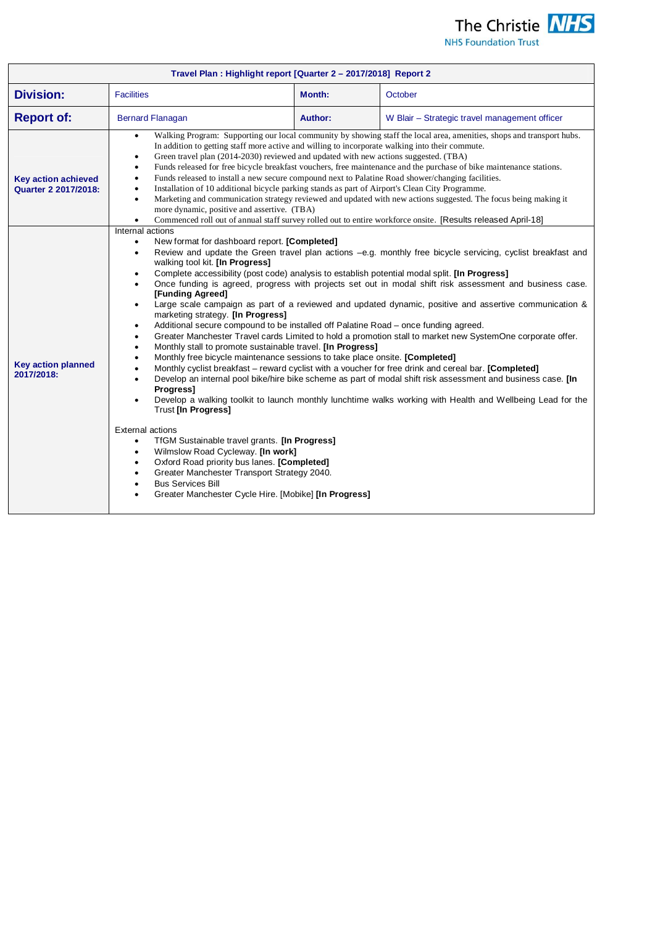

|  |  |  | <b>NHS Foundation Trust</b> |
|--|--|--|-----------------------------|
|--|--|--|-----------------------------|

| Travel Plan: Highlight report [Quarter 2 - 2017/2018] Report 2 |                                                                                                                                                                                                                                                                                                                                                                                                                                                                                                                                                                                                                                                                                                                                                                                                                                                                                                                                                                                                                                                                                                                                                                                                                                                                                                                                                                                                                                                                                                                                                                                                                                                                                                                                                                                                                                                                                                                                                                                |                |                                               |  |
|----------------------------------------------------------------|--------------------------------------------------------------------------------------------------------------------------------------------------------------------------------------------------------------------------------------------------------------------------------------------------------------------------------------------------------------------------------------------------------------------------------------------------------------------------------------------------------------------------------------------------------------------------------------------------------------------------------------------------------------------------------------------------------------------------------------------------------------------------------------------------------------------------------------------------------------------------------------------------------------------------------------------------------------------------------------------------------------------------------------------------------------------------------------------------------------------------------------------------------------------------------------------------------------------------------------------------------------------------------------------------------------------------------------------------------------------------------------------------------------------------------------------------------------------------------------------------------------------------------------------------------------------------------------------------------------------------------------------------------------------------------------------------------------------------------------------------------------------------------------------------------------------------------------------------------------------------------------------------------------------------------------------------------------------------------|----------------|-----------------------------------------------|--|
| <b>Division:</b>                                               | <b>Facilities</b>                                                                                                                                                                                                                                                                                                                                                                                                                                                                                                                                                                                                                                                                                                                                                                                                                                                                                                                                                                                                                                                                                                                                                                                                                                                                                                                                                                                                                                                                                                                                                                                                                                                                                                                                                                                                                                                                                                                                                              | Month:         | October                                       |  |
| <b>Report of:</b>                                              | <b>Bernard Flanagan</b>                                                                                                                                                                                                                                                                                                                                                                                                                                                                                                                                                                                                                                                                                                                                                                                                                                                                                                                                                                                                                                                                                                                                                                                                                                                                                                                                                                                                                                                                                                                                                                                                                                                                                                                                                                                                                                                                                                                                                        | <b>Author:</b> | W Blair - Strategic travel management officer |  |
| <b>Key action achieved</b><br>Quarter 2 2017/2018:             | Walking Program: Supporting our local community by showing staff the local area, amenities, shops and transport hubs.<br>$\bullet$<br>In addition to getting staff more active and willing to incorporate walking into their commute.<br>Green travel plan (2014-2030) reviewed and updated with new actions suggested. (TBA)<br>$\bullet$<br>Funds released for free bicycle breakfast vouchers, free maintenance and the purchase of bike maintenance stations.<br>$\bullet$<br>Funds released to install a new secure compound next to Palatine Road shower/changing facilities.<br>$\bullet$<br>Installation of 10 additional bicycle parking stands as part of Airport's Clean City Programme.<br>$\bullet$<br>Marketing and communication strategy reviewed and updated with new actions suggested. The focus being making it<br>$\bullet$<br>more dynamic, positive and assertive. (TBA)<br>$\bullet$                                                                                                                                                                                                                                                                                                                                                                                                                                                                                                                                                                                                                                                                                                                                                                                                                                                                                                                                                                                                                                                                   |                |                                               |  |
| <b>Key action planned</b><br>2017/2018:                        | Commenced roll out of annual staff survey rolled out to entire workforce onsite. [Results released April-18]<br>Internal actions<br>New format for dashboard report. [Completed]<br>$\bullet$<br>Review and update the Green travel plan actions -e.g. monthly free bicycle servicing, cyclist breakfast and<br>$\bullet$<br>walking tool kit. [In Progress]<br>Complete accessibility (post code) analysis to establish potential modal split. [In Progress]<br>$\bullet$<br>Once funding is agreed, progress with projects set out in modal shift risk assessment and business case.<br>$\bullet$<br>[Funding Agreed]<br>Large scale campaign as part of a reviewed and updated dynamic, positive and assertive communication &<br>$\bullet$<br>marketing strategy. [In Progress]<br>Additional secure compound to be installed off Palatine Road – once funding agreed.<br>$\bullet$<br>Greater Manchester Travel cards Limited to hold a promotion stall to market new SystemOne corporate offer.<br>$\bullet$<br>Monthly stall to promote sustainable travel. [In Progress]<br>$\bullet$<br>Monthly free bicycle maintenance sessions to take place onsite. [Completed]<br>$\bullet$<br>Monthly cyclist breakfast - reward cyclist with a voucher for free drink and cereal bar. [Completed]<br>$\bullet$<br>Develop an internal pool bike/hire bike scheme as part of modal shift risk assessment and business case. [In<br>$\bullet$<br>Progress]<br>Develop a walking toolkit to launch monthly lunchtime walks working with Health and Wellbeing Lead for the<br>$\bullet$<br><b>Trust [In Progress]</b><br><b>External actions</b><br>TfGM Sustainable travel grants. [In Progress]<br>$\bullet$<br>Wilmslow Road Cycleway. [In work]<br>$\bullet$<br>Oxford Road priority bus lanes. [Completed]<br>٠<br>Greater Manchester Transport Strategy 2040.<br>$\bullet$<br><b>Bus Services Bill</b><br>$\bullet$<br>Greater Manchester Cycle Hire. [Mobike] [In Progress] |                |                                               |  |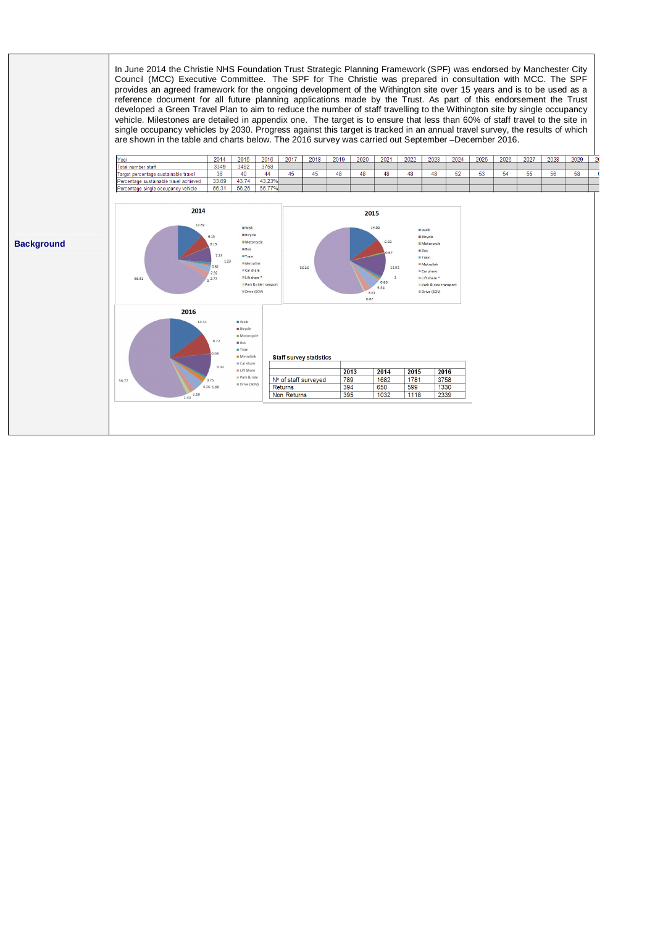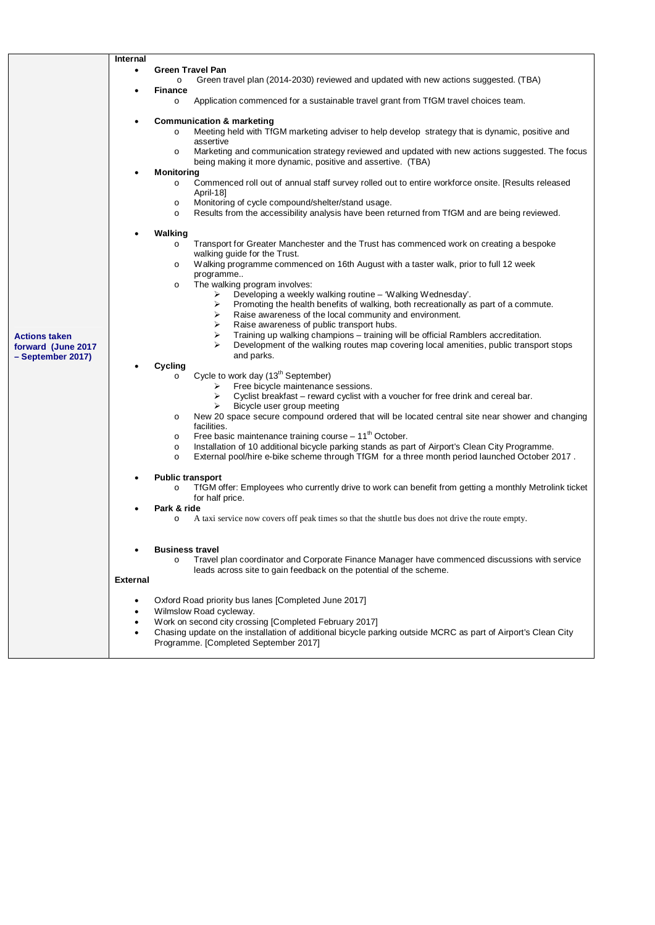|                      | <b>Green Travel Pan</b><br>$\bullet$                                                                                                                                           |  |  |  |
|----------------------|--------------------------------------------------------------------------------------------------------------------------------------------------------------------------------|--|--|--|
|                      | Green travel plan (2014-2030) reviewed and updated with new actions suggested. (TBA)<br>$\circ$                                                                                |  |  |  |
|                      | <b>Finance</b>                                                                                                                                                                 |  |  |  |
|                      | Application commenced for a sustainable travel grant from TfGM travel choices team.<br>$\circ$                                                                                 |  |  |  |
|                      | <b>Communication &amp; marketing</b>                                                                                                                                           |  |  |  |
|                      | Meeting held with TfGM marketing adviser to help develop strategy that is dynamic, positive and<br>$\circ$                                                                     |  |  |  |
|                      | assertive                                                                                                                                                                      |  |  |  |
|                      | Marketing and communication strategy reviewed and updated with new actions suggested. The focus<br>$\circ$                                                                     |  |  |  |
|                      | being making it more dynamic, positive and assertive. (TBA)                                                                                                                    |  |  |  |
|                      | Monitoring                                                                                                                                                                     |  |  |  |
|                      | Commenced roll out of annual staff survey rolled out to entire workforce onsite. [Results released<br>$\circ$                                                                  |  |  |  |
|                      | April-18]                                                                                                                                                                      |  |  |  |
|                      | Monitoring of cycle compound/shelter/stand usage.<br>$\circ$                                                                                                                   |  |  |  |
|                      | Results from the accessibility analysis have been returned from TfGM and are being reviewed.<br>$\circ$                                                                        |  |  |  |
|                      |                                                                                                                                                                                |  |  |  |
|                      | Walking                                                                                                                                                                        |  |  |  |
|                      | Transport for Greater Manchester and the Trust has commenced work on creating a bespoke<br>$\circ$<br>walking guide for the Trust.                                             |  |  |  |
|                      | Walking programme commenced on 16th August with a taster walk, prior to full 12 week<br>$\circ$                                                                                |  |  |  |
|                      | programme                                                                                                                                                                      |  |  |  |
|                      | The walking program involves:<br>$\circ$                                                                                                                                       |  |  |  |
|                      | Developing a weekly walking routine - 'Walking Wednesday'.<br>➤                                                                                                                |  |  |  |
|                      | Promoting the health benefits of walking, both recreationally as part of a commute.<br>➤                                                                                       |  |  |  |
|                      | Raise awareness of the local community and environment.<br>⋗                                                                                                                   |  |  |  |
|                      | Raise awareness of public transport hubs.<br>⋗                                                                                                                                 |  |  |  |
| <b>Actions taken</b> | Training up walking champions - training will be official Ramblers accreditation.<br>⋗                                                                                         |  |  |  |
| forward (June 2017   | ⋗<br>Development of the walking routes map covering local amenities, public transport stops                                                                                    |  |  |  |
| - September 2017)    | and parks.<br>Cycling                                                                                                                                                          |  |  |  |
|                      | Cycle to work day (13 <sup>th</sup> September)<br>$\circ$                                                                                                                      |  |  |  |
|                      | $\triangleright$ Free bicycle maintenance sessions.                                                                                                                            |  |  |  |
|                      | Cyclist breakfast - reward cyclist with a voucher for free drink and cereal bar.<br>➤                                                                                          |  |  |  |
|                      | Bicycle user group meeting<br>➤                                                                                                                                                |  |  |  |
|                      | New 20 space secure compound ordered that will be located central site near shower and changing<br>$\circ$                                                                     |  |  |  |
|                      | facilities.                                                                                                                                                                    |  |  |  |
|                      | Free basic maintenance training course $-11^{th}$ October.<br>$\circ$                                                                                                          |  |  |  |
|                      | Installation of 10 additional bicycle parking stands as part of Airport's Clean City Programme.<br>$\circ$                                                                     |  |  |  |
|                      | External pool/hire e-bike scheme through TfGM for a three month period launched October 2017.<br>$\circ$                                                                       |  |  |  |
|                      | <b>Public transport</b>                                                                                                                                                        |  |  |  |
|                      | TfGM offer: Employees who currently drive to work can benefit from getting a monthly Metrolink ticket<br>$\circ$                                                               |  |  |  |
|                      | for half price.                                                                                                                                                                |  |  |  |
|                      | Park & ride                                                                                                                                                                    |  |  |  |
|                      | A taxi service now covers off peak times so that the shuttle bus does not drive the route empty.<br>$\circ$                                                                    |  |  |  |
|                      |                                                                                                                                                                                |  |  |  |
|                      |                                                                                                                                                                                |  |  |  |
|                      | <b>Business travel</b>                                                                                                                                                         |  |  |  |
|                      | Travel plan coordinator and Corporate Finance Manager have commenced discussions with service<br>$\circ$<br>leads across site to gain feedback on the potential of the scheme. |  |  |  |
|                      |                                                                                                                                                                                |  |  |  |
|                      | <b>External</b>                                                                                                                                                                |  |  |  |
|                      |                                                                                                                                                                                |  |  |  |
|                      | Oxford Road priority bus lanes [Completed June 2017]<br>٠                                                                                                                      |  |  |  |
|                      | Wilmslow Road cycleway.                                                                                                                                                        |  |  |  |
|                      | Work on second city crossing [Completed February 2017]<br>Chasing update on the installation of additional bicycle parking outside MCRC as part of Airport's Clean City        |  |  |  |
|                      | Programme. [Completed September 2017]                                                                                                                                          |  |  |  |
|                      |                                                                                                                                                                                |  |  |  |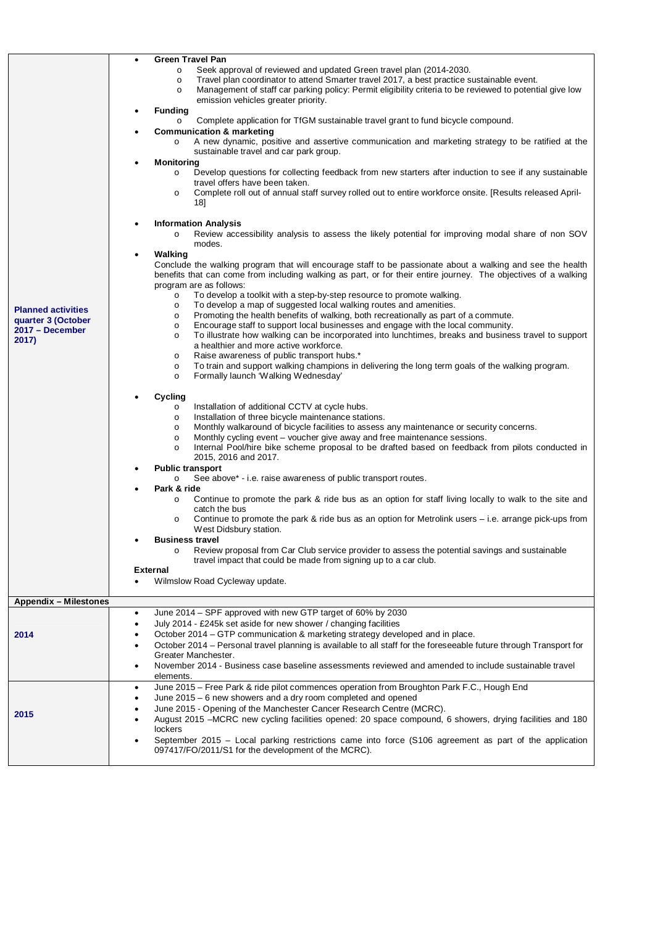| <b>Planned activities</b><br>quarter 3 (October<br>2017 - December<br>2017) | <b>Green Travel Pan</b><br>Seek approval of reviewed and updated Green travel plan (2014-2030.<br>$\circ$<br>Travel plan coordinator to attend Smarter travel 2017, a best practice sustainable event.<br>$\circ$<br>Management of staff car parking policy: Permit eligibility criteria to be reviewed to potential give low<br>$\circ$<br>emission vehicles greater priority.<br><b>Funding</b><br>Complete application for TfGM sustainable travel grant to fund bicycle compound.<br>$\circ$<br><b>Communication &amp; marketing</b><br>A new dynamic, positive and assertive communication and marketing strategy to be ratified at the<br>$\circ$<br>sustainable travel and car park group.<br><b>Monitoring</b><br>Develop questions for collecting feedback from new starters after induction to see if any sustainable<br>$\circ$<br>travel offers have been taken.<br>Complete roll out of annual staff survey rolled out to entire workforce onsite. [Results released April-<br>$\circ$<br>18]<br><b>Information Analysis</b><br>Review accessibility analysis to assess the likely potential for improving modal share of non SOV<br>$\circ$<br>modes.<br>Walking<br>Conclude the walking program that will encourage staff to be passionate about a walking and see the health<br>benefits that can come from including walking as part, or for their entire journey. The objectives of a walking<br>program are as follows:<br>To develop a toolkit with a step-by-step resource to promote walking.<br>$\circ$<br>To develop a map of suggested local walking routes and amenities.<br>$\circ$<br>Promoting the health benefits of walking, both recreationally as part of a commute.<br>$\circ$<br>Encourage staff to support local businesses and engage with the local community.<br>$\circ$<br>To illustrate how walking can be incorporated into lunchtimes, breaks and business travel to support<br>$\circ$<br>a healthier and more active workforce.<br>Raise awareness of public transport hubs.*<br>$\circ$<br>To train and support walking champions in delivering the long term goals of the walking program.<br>$\circ$<br>Formally launch 'Walking Wednesday'<br>$\circ$<br>Cycling<br>Installation of additional CCTV at cycle hubs.<br>$\circ$<br>Installation of three bicycle maintenance stations.<br>$\circ$<br>Monthly walkaround of bicycle facilities to assess any maintenance or security concerns.<br>$\circ$<br>Monthly cycling event – voucher give away and free maintenance sessions.<br>$\circ$<br>Internal Pool/hire bike scheme proposal to be drafted based on feedback from pilots conducted in<br>$\circ$<br>2015, 2016 and 2017.<br><b>Public transport</b><br>See above* - i.e. raise awareness of public transport routes.<br>$\circ$<br>Park & ride<br>Continue to promote the park & ride bus as an option for staff living locally to walk to the site and<br>$\circ$<br>catch the bus<br>Continue to promote the park & ride bus as an option for Metrolink users – i.e. arrange pick-ups from<br>West Didsbury station.<br><b>Business travel</b><br>Review proposal from Car Club service provider to assess the potential savings and sustainable<br>$\circ$<br>travel impact that could be made from signing up to a car club.<br><b>External</b><br>Wilmslow Road Cycleway update. |  |
|-----------------------------------------------------------------------------|----------------------------------------------------------------------------------------------------------------------------------------------------------------------------------------------------------------------------------------------------------------------------------------------------------------------------------------------------------------------------------------------------------------------------------------------------------------------------------------------------------------------------------------------------------------------------------------------------------------------------------------------------------------------------------------------------------------------------------------------------------------------------------------------------------------------------------------------------------------------------------------------------------------------------------------------------------------------------------------------------------------------------------------------------------------------------------------------------------------------------------------------------------------------------------------------------------------------------------------------------------------------------------------------------------------------------------------------------------------------------------------------------------------------------------------------------------------------------------------------------------------------------------------------------------------------------------------------------------------------------------------------------------------------------------------------------------------------------------------------------------------------------------------------------------------------------------------------------------------------------------------------------------------------------------------------------------------------------------------------------------------------------------------------------------------------------------------------------------------------------------------------------------------------------------------------------------------------------------------------------------------------------------------------------------------------------------------------------------------------------------------------------------------------------------------------------------------------------------------------------------------------------------------------------------------------------------------------------------------------------------------------------------------------------------------------------------------------------------------------------------------------------------------------------------------------------------------------------------------------------------------------------------------------------------------------------------------------------------------------------------------------------------------------------------------------------------------------------------------------------------------------------------------------------------------------------------------------------------------------------------------------------------------------------------------------------------------------------|--|
| <b>Appendix - Milestones</b>                                                |                                                                                                                                                                                                                                                                                                                                                                                                                                                                                                                                                                                                                                                                                                                                                                                                                                                                                                                                                                                                                                                                                                                                                                                                                                                                                                                                                                                                                                                                                                                                                                                                                                                                                                                                                                                                                                                                                                                                                                                                                                                                                                                                                                                                                                                                                                                                                                                                                                                                                                                                                                                                                                                                                                                                                                                                                                                                                                                                                                                                                                                                                                                                                                                                                                                                                                                                                    |  |
| 2014                                                                        | June 2014 - SPF approved with new GTP target of 60% by 2030<br>$\bullet$<br>July 2014 - £245k set aside for new shower / changing facilities<br>$\bullet$<br>October 2014 - GTP communication & marketing strategy developed and in place.<br>October 2014 – Personal travel planning is available to all staff for the foreseeable future through Transport for<br>٠<br>Greater Manchester.<br>November 2014 - Business case baseline assessments reviewed and amended to include sustainable travel<br>٠<br>elements.<br>June 2015 - Free Park & ride pilot commences operation from Broughton Park F.C., Hough End<br>٠<br>June 2015 - 6 new showers and a dry room completed and opened<br>$\bullet$                                                                                                                                                                                                                                                                                                                                                                                                                                                                                                                                                                                                                                                                                                                                                                                                                                                                                                                                                                                                                                                                                                                                                                                                                                                                                                                                                                                                                                                                                                                                                                                                                                                                                                                                                                                                                                                                                                                                                                                                                                                                                                                                                                                                                                                                                                                                                                                                                                                                                                                                                                                                                                           |  |
| 2015                                                                        | June 2015 - Opening of the Manchester Cancer Research Centre (MCRC).<br>August 2015 - MCRC new cycling facilities opened: 20 space compound, 6 showers, drying facilities and 180<br>lockers<br>September 2015 – Local parking restrictions came into force (S106 agreement as part of the application<br>097417/FO/2011/S1 for the development of the MCRC).                                                                                                                                                                                                                                                                                                                                                                                                                                                                                                                                                                                                                                                                                                                                                                                                                                                                                                                                                                                                                                                                                                                                                                                                                                                                                                                                                                                                                                                                                                                                                                                                                                                                                                                                                                                                                                                                                                                                                                                                                                                                                                                                                                                                                                                                                                                                                                                                                                                                                                                                                                                                                                                                                                                                                                                                                                                                                                                                                                                      |  |